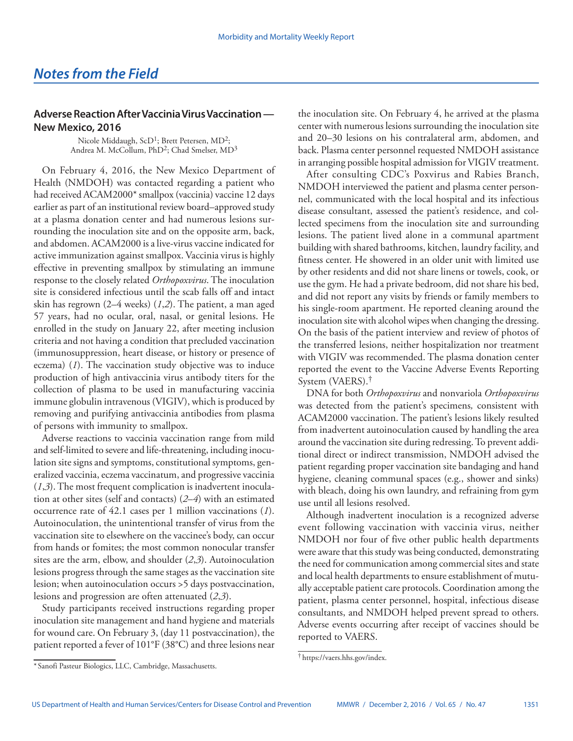## **Adverse Reaction After Vaccinia Virus Vaccination — New Mexico, 2016**

Nicole Middaugh,  $ScD<sup>1</sup>$ ; Brett Petersen,  $MD<sup>2</sup>$ ; Andrea M. McCollum, PhD<sup>2</sup>; Chad Smelser, MD<sup>3</sup>

On February 4, 2016, the New Mexico Department of Health (NMDOH) was contacted regarding a patient who had received ACAM2000\* smallpox (vaccinia) vaccine 12 days earlier as part of an institutional review board–approved study at a plasma donation center and had numerous lesions surrounding the inoculation site and on the opposite arm, back, and abdomen. ACAM2000 is a live-virus vaccine indicated for active immunization against smallpox. Vaccinia virus is highly effective in preventing smallpox by stimulating an immune response to the closely related *Orthopoxvirus*. The inoculation site is considered infectious until the scab falls off and intact skin has regrown (2–4 weeks) (*1*,*2*). The patient, a man aged 57 years, had no ocular, oral, nasal, or genital lesions. He enrolled in the study on January 22, after meeting inclusion criteria and not having a condition that precluded vaccination (immunosuppression, heart disease, or history or presence of eczema) (*1*). The vaccination study objective was to induce production of high antivaccinia virus antibody titers for the collection of plasma to be used in manufacturing vaccinia immune globulin intravenous (VIGIV), which is produced by removing and purifying antivaccinia antibodies from plasma of persons with immunity to smallpox.

Adverse reactions to vaccinia vaccination range from mild and self-limited to severe and life-threatening, including inoculation site signs and symptoms, constitutional symptoms, generalized vaccinia, eczema vaccinatum, and progressive vaccinia (*1*,*3*). The most frequent complication is inadvertent inoculation at other sites (self and contacts) (*2*–*4*) with an estimated occurrence rate of 42.1 cases per 1 million vaccinations (*1*). Autoinoculation, the unintentional transfer of virus from the vaccination site to elsewhere on the vaccinee's body, can occur from hands or fomites; the most common nonocular transfer sites are the arm, elbow, and shoulder (*2*,*3*). Autoinoculation lesions progress through the same stages as the vaccination site lesion; when autoinoculation occurs >5 days postvaccination, lesions and progression are often attenuated (*2*,*3*).

Study participants received instructions regarding proper inoculation site management and hand hygiene and materials for wound care. On February 3, (day 11 postvaccination), the patient reported a fever of 101°F (38°C) and three lesions near the inoculation site. On February 4, he arrived at the plasma center with numerous lesions surrounding the inoculation site and 20–30 lesions on his contralateral arm, abdomen, and back. Plasma center personnel requested NMDOH assistance in arranging possible hospital admission for VIGIV treatment.

After consulting CDC's Poxvirus and Rabies Branch, NMDOH interviewed the patient and plasma center personnel, communicated with the local hospital and its infectious disease consultant, assessed the patient's residence, and collected specimens from the inoculation site and surrounding lesions. The patient lived alone in a communal apartment building with shared bathrooms, kitchen, laundry facility, and fitness center. He showered in an older unit with limited use by other residents and did not share linens or towels, cook, or use the gym. He had a private bedroom, did not share his bed, and did not report any visits by friends or family members to his single-room apartment. He reported cleaning around the inoculation site with alcohol wipes when changing the dressing. On the basis of the patient interview and review of photos of the transferred lesions, neither hospitalization nor treatment with VIGIV was recommended. The plasma donation center reported the event to the Vaccine Adverse Events Reporting System (VAERS).†

DNA for both *Orthopoxvirus* and nonvariola *Orthopoxvirus* was detected from the patient's specimens*,* consistent with ACAM2000 vaccination. The patient's lesions likely resulted from inadvertent autoinoculation caused by handling the area around the vaccination site during redressing. To prevent additional direct or indirect transmission, NMDOH advised the patient regarding proper vaccination site bandaging and hand hygiene, cleaning communal spaces (e.g., shower and sinks) with bleach, doing his own laundry, and refraining from gym use until all lesions resolved.

Although inadvertent inoculation is a recognized adverse event following vaccination with vaccinia virus, neither NMDOH nor four of five other public health departments were aware that this study was being conducted, demonstrating the need for communication among commercial sites and state and local health departments to ensure establishment of mutually acceptable patient care protocols. Coordination among the patient, plasma center personnel, hospital, infectious disease consultants, and NMDOH helped prevent spread to others. Adverse events occurring after receipt of vaccines should be reported to VAERS.

<sup>†</sup> <https://vaers.hhs.gov/index>.